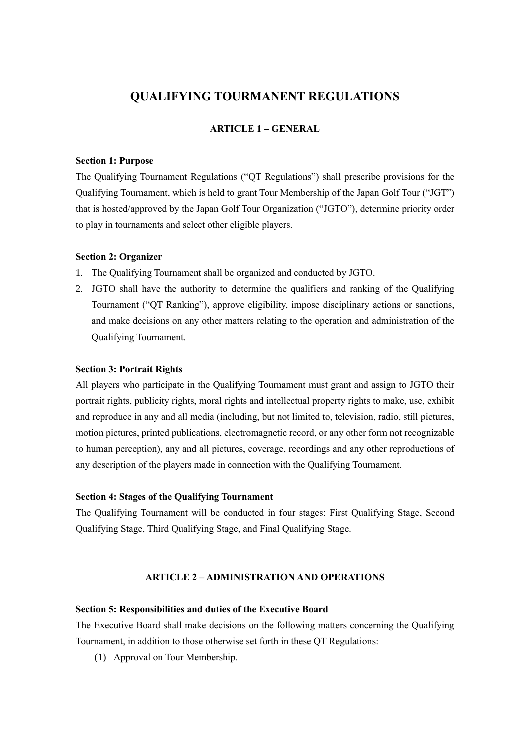# **QUALIFYING TOURMANENT REGULATIONS**

## **ARTICLE 1 – GENERAL**

# **Section 1: Purpose**

The Qualifying Tournament Regulations ("QT Regulations") shall prescribe provisions for the Qualifying Tournament, which is held to grant Tour Membership of the Japan Golf Tour ("JGT") that is hosted/approved by the Japan Golf Tour Organization ("JGTO"), determine priority order to play in tournaments and select other eligible players.

### **Section 2: Organizer**

- 1. The Qualifying Tournament shall be organized and conducted by JGTO.
- 2. JGTO shall have the authority to determine the qualifiers and ranking of the Qualifying Tournament ("QT Ranking"), approve eligibility, impose disciplinary actions or sanctions, and make decisions on any other matters relating to the operation and administration of the Qualifying Tournament.

#### **Section 3: Portrait Rights**

All players who participate in the Qualifying Tournament must grant and assign to JGTO their portrait rights, publicity rights, moral rights and intellectual property rights to make, use, exhibit and reproduce in any and all media (including, but not limited to, television, radio, still pictures, motion pictures, printed publications, electromagnetic record, or any other form not recognizable to human perception), any and all pictures, coverage, recordings and any other reproductions of any description of the players made in connection with the Qualifying Tournament.

### **Section 4: Stages of the Qualifying Tournament**

The Qualifying Tournament will be conducted in four stages: First Qualifying Stage, Second Qualifying Stage, Third Qualifying Stage, and Final Qualifying Stage.

### **ARTICLE 2 – ADMINISTRATION AND OPERATIONS**

### **Section 5: Responsibilities and duties of the Executive Board**

The Executive Board shall make decisions on the following matters concerning the Qualifying Tournament, in addition to those otherwise set forth in these QT Regulations:

(1) Approval on Tour Membership.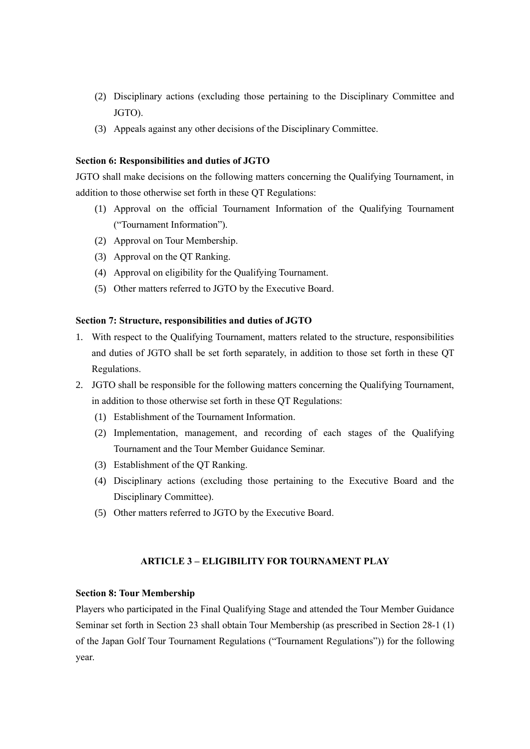- (2) Disciplinary actions (excluding those pertaining to the Disciplinary Committee and JGTO).
- (3) Appeals against any other decisions of the Disciplinary Committee.

### **Section 6: Responsibilities and duties of JGTO**

JGTO shall make decisions on the following matters concerning the Qualifying Tournament, in addition to those otherwise set forth in these QT Regulations:

- (1) Approval on the official Tournament Information of the Qualifying Tournament ("Tournament Information").
- (2) Approval on Tour Membership.
- (3) Approval on the QT Ranking.
- (4) Approval on eligibility for the Qualifying Tournament.
- (5) Other matters referred to JGTO by the Executive Board.

#### **Section 7: Structure, responsibilities and duties of JGTO**

- 1. With respect to the Qualifying Tournament, matters related to the structure, responsibilities and duties of JGTO shall be set forth separately, in addition to those set forth in these QT Regulations.
- 2. JGTO shall be responsible for the following matters concerning the Qualifying Tournament, in addition to those otherwise set forth in these QT Regulations:
	- (1) Establishment of the Tournament Information.
	- (2) Implementation, management, and recording of each stages of the Qualifying Tournament and the Tour Member Guidance Seminar.
	- (3) Establishment of the QT Ranking.
	- (4) Disciplinary actions (excluding those pertaining to the Executive Board and the Disciplinary Committee).
	- (5) Other matters referred to JGTO by the Executive Board.

# **ARTICLE 3 – ELIGIBILITY FOR TOURNAMENT PLAY**

#### **Section 8: Tour Membership**

Players who participated in the Final Qualifying Stage and attended the Tour Member Guidance Seminar set forth in Section 23 shall obtain Tour Membership (as prescribed in Section 28-1 (1) of the Japan Golf Tour Tournament Regulations ("Tournament Regulations")) for the following year.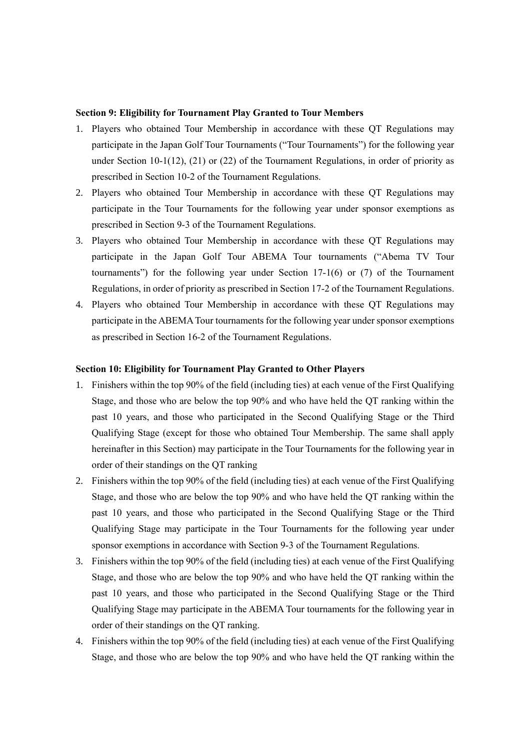### **Section 9: Eligibility for Tournament Play Granted to Tour Members**

- 1. Players who obtained Tour Membership in accordance with these QT Regulations may participate in the Japan Golf Tour Tournaments ("Tour Tournaments") for the following year under Section 10-1(12), (21) or (22) of the Tournament Regulations, in order of priority as prescribed in Section 10-2 of the Tournament Regulations.
- 2. Players who obtained Tour Membership in accordance with these QT Regulations may participate in the Tour Tournaments for the following year under sponsor exemptions as prescribed in Section 9-3 of the Tournament Regulations.
- 3. Players who obtained Tour Membership in accordance with these QT Regulations may participate in the Japan Golf Tour ABEMA Tour tournaments ("Abema TV Tour tournaments") for the following year under Section 17-1(6) or (7) of the Tournament Regulations, in order of priority as prescribed in Section 17-2 of the Tournament Regulations.
- 4. Players who obtained Tour Membership in accordance with these QT Regulations may participate in the ABEMA Tour tournaments for the following year under sponsor exemptions as prescribed in Section 16-2 of the Tournament Regulations.

# **Section 10: Eligibility for Tournament Play Granted to Other Players**

- 1. Finishers within the top 90% of the field (including ties) at each venue of the First Qualifying Stage, and those who are below the top 90% and who have held the QT ranking within the past 10 years, and those who participated in the Second Qualifying Stage or the Third Qualifying Stage (except for those who obtained Tour Membership. The same shall apply hereinafter in this Section) may participate in the Tour Tournaments for the following year in order of their standings on the QT ranking
- 2. Finishers within the top 90% of the field (including ties) at each venue of the First Qualifying Stage, and those who are below the top 90% and who have held the QT ranking within the past 10 years, and those who participated in the Second Qualifying Stage or the Third Qualifying Stage may participate in the Tour Tournaments for the following year under sponsor exemptions in accordance with Section 9-3 of the Tournament Regulations.
- 3. Finishers within the top 90% of the field (including ties) at each venue of the First Qualifying Stage, and those who are below the top 90% and who have held the QT ranking within the past 10 years, and those who participated in the Second Qualifying Stage or the Third Qualifying Stage may participate in the ABEMA Tour tournaments for the following year in order of their standings on the QT ranking.
- 4. Finishers within the top 90% of the field (including ties) at each venue of the First Qualifying Stage, and those who are below the top 90% and who have held the QT ranking within the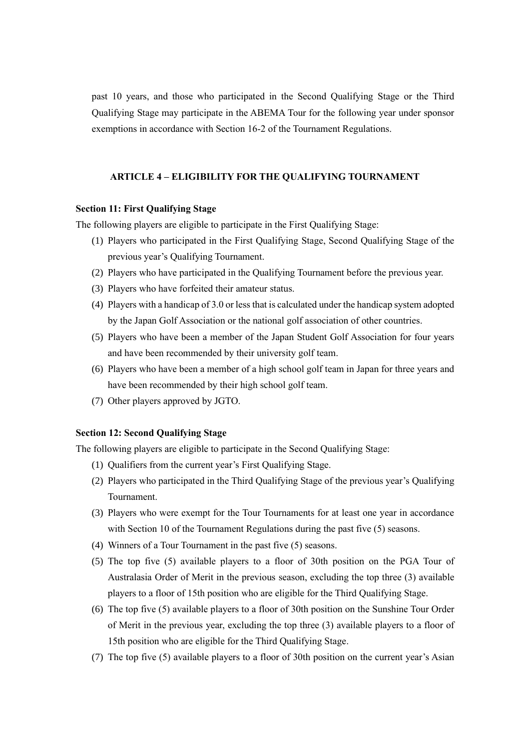past 10 years, and those who participated in the Second Qualifying Stage or the Third Qualifying Stage may participate in the ABEMA Tour for the following year under sponsor exemptions in accordance with Section 16-2 of the Tournament Regulations.

#### **ARTICLE 4 – ELIGIBILITY FOR THE QUALIFYING TOURNAMENT**

## **Section 11: First Qualifying Stage**

The following players are eligible to participate in the First Qualifying Stage:

- (1) Players who participated in the First Qualifying Stage, Second Qualifying Stage of the previous year's Qualifying Tournament.
- (2) Players who have participated in the Qualifying Tournament before the previous year.
- (3) Players who have forfeited their amateur status.
- (4) Players with a handicap of 3.0 or less that is calculated under the handicap system adopted by the Japan Golf Association or the national golf association of other countries.
- (5) Players who have been a member of the Japan Student Golf Association for four years and have been recommended by their university golf team.
- (6) Players who have been a member of a high school golf team in Japan for three years and have been recommended by their high school golf team.
- (7) Other players approved by JGTO.

# **Section 12: Second Qualifying Stage**

The following players are eligible to participate in the Second Qualifying Stage:

- (1) Qualifiers from the current year's First Qualifying Stage.
- (2) Players who participated in the Third Qualifying Stage of the previous year's Qualifying Tournament.
- (3) Players who were exempt for the Tour Tournaments for at least one year in accordance with Section 10 of the Tournament Regulations during the past five (5) seasons.
- (4) Winners of a Tour Tournament in the past five (5) seasons.
- (5) The top five (5) available players to a floor of 30th position on the PGA Tour of Australasia Order of Merit in the previous season, excluding the top three (3) available players to a floor of 15th position who are eligible for the Third Qualifying Stage.
- (6) The top five (5) available players to a floor of 30th position on the Sunshine Tour Order of Merit in the previous year, excluding the top three (3) available players to a floor of 15th position who are eligible for the Third Qualifying Stage.
- (7) The top five (5) available players to a floor of 30th position on the current year's Asian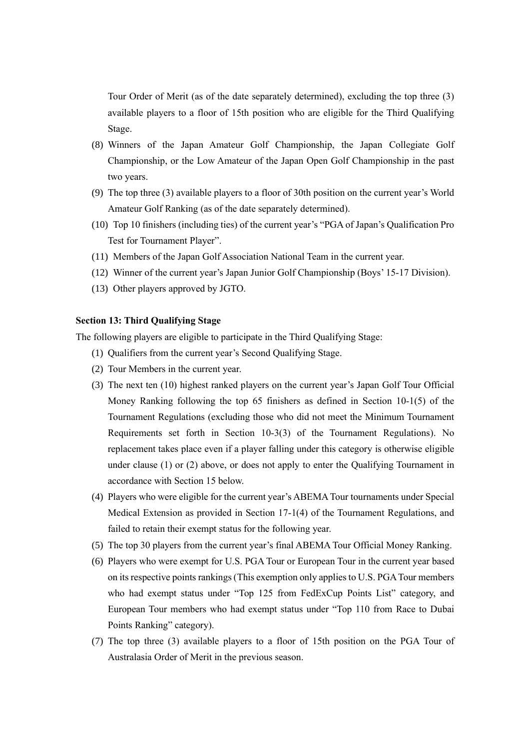Tour Order of Merit (as of the date separately determined), excluding the top three (3) available players to a floor of 15th position who are eligible for the Third Qualifying Stage.

- (8) Winners of the Japan Amateur Golf Championship, the Japan Collegiate Golf Championship, or the Low Amateur of the Japan Open Golf Championship in the past two years.
- (9) The top three (3) available players to a floor of 30th position on the current year's World Amateur Golf Ranking (as of the date separately determined).
- (10) Top 10 finishers (including ties) of the current year's "PGA of Japan's Qualification Pro Test for Tournament Player".
- (11) Members of the Japan Golf Association National Team in the current year.
- (12) Winner of the current year's Japan Junior Golf Championship (Boys' 15-17 Division).
- (13) Other players approved by JGTO.

## **Section 13: Third Qualifying Stage**

The following players are eligible to participate in the Third Qualifying Stage:

- (1) Qualifiers from the current year's Second Qualifying Stage.
- (2) Tour Members in the current year.
- (3) The next ten (10) highest ranked players on the current year's Japan Golf Tour Official Money Ranking following the top 65 finishers as defined in Section 10-1(5) of the Tournament Regulations (excluding those who did not meet the Minimum Tournament Requirements set forth in Section 10-3(3) of the Tournament Regulations). No replacement takes place even if a player falling under this category is otherwise eligible under clause (1) or (2) above, or does not apply to enter the Qualifying Tournament in accordance with Section 15 below.
- (4) Players who were eligible for the current year's ABEMATour tournaments under Special Medical Extension as provided in Section 17-1(4) of the Tournament Regulations, and failed to retain their exempt status for the following year.
- (5) The top 30 players from the current year's final ABEMA Tour Official Money Ranking.
- (6) Players who were exempt for U.S. PGA Tour or European Tour in the current year based on its respective points rankings (This exemption only applies to U.S. PGA Tour members who had exempt status under "Top 125 from FedExCup Points List" category, and European Tour members who had exempt status under "Top 110 from Race to Dubai Points Ranking" category).
- (7) The top three (3) available players to a floor of 15th position on the PGA Tour of Australasia Order of Merit in the previous season.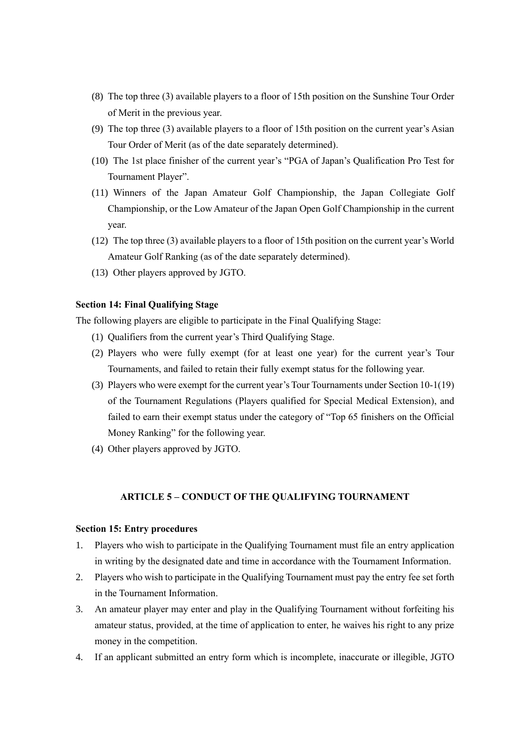- (8) The top three (3) available players to a floor of 15th position on the Sunshine Tour Order of Merit in the previous year.
- (9) The top three (3) available players to a floor of 15th position on the current year's Asian Tour Order of Merit (as of the date separately determined).
- (10) The 1st place finisher of the current year's "PGA of Japan's Qualification Pro Test for Tournament Player".
- (11) Winners of the Japan Amateur Golf Championship, the Japan Collegiate Golf Championship, or the Low Amateur of the Japan Open Golf Championship in the current year.
- (12) The top three (3) available players to a floor of 15th position on the current year's World Amateur Golf Ranking (as of the date separately determined).
- (13) Other players approved by JGTO.

### **Section 14: Final Qualifying Stage**

The following players are eligible to participate in the Final Qualifying Stage:

- (1) Qualifiers from the current year's Third Qualifying Stage.
- (2) Players who were fully exempt (for at least one year) for the current year's Tour Tournaments, and failed to retain their fully exempt status for the following year.
- (3) Players who were exempt for the current year's Tour Tournaments under Section 10-1(19) of the Tournament Regulations (Players qualified for Special Medical Extension), and failed to earn their exempt status under the category of "Top 65 finishers on the Official Money Ranking" for the following year.
- (4) Other players approved by JGTO.

### **ARTICLE 5 – CONDUCT OF THE QUALIFYING TOURNAMENT**

#### **Section 15: Entry procedures**

- 1. Players who wish to participate in the Qualifying Tournament must file an entry application in writing by the designated date and time in accordance with the Tournament Information.
- 2. Players who wish to participate in the Qualifying Tournament must pay the entry fee set forth in the Tournament Information.
- 3. An amateur player may enter and play in the Qualifying Tournament without forfeiting his amateur status, provided, at the time of application to enter, he waives his right to any prize money in the competition.
- 4. If an applicant submitted an entry form which is incomplete, inaccurate or illegible, JGTO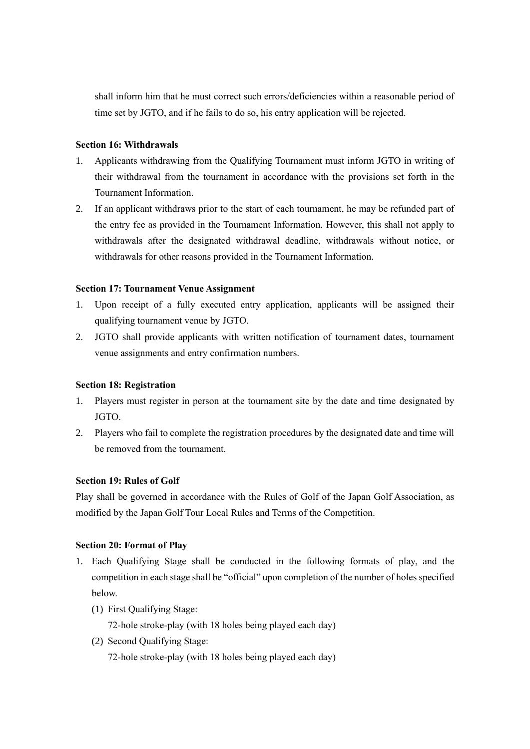shall inform him that he must correct such errors/deficiencies within a reasonable period of time set by JGTO, and if he fails to do so, his entry application will be rejected.

## **Section 16: Withdrawals**

- 1. Applicants withdrawing from the Qualifying Tournament must inform JGTO in writing of their withdrawal from the tournament in accordance with the provisions set forth in the Tournament Information.
- 2. If an applicant withdraws prior to the start of each tournament, he may be refunded part of the entry fee as provided in the Tournament Information. However, this shall not apply to withdrawals after the designated withdrawal deadline, withdrawals without notice, or withdrawals for other reasons provided in the Tournament Information.

# **Section 17: Tournament Venue Assignment**

- 1. Upon receipt of a fully executed entry application, applicants will be assigned their qualifying tournament venue by JGTO.
- 2. JGTO shall provide applicants with written notification of tournament dates, tournament venue assignments and entry confirmation numbers.

# **Section 18: Registration**

- 1. Players must register in person at the tournament site by the date and time designated by JGTO.
- 2. Players who fail to complete the registration procedures by the designated date and time will be removed from the tournament.

# **Section 19: Rules of Golf**

Play shall be governed in accordance with the Rules of Golf of the Japan Golf Association, as modified by the Japan Golf Tour Local Rules and Terms of the Competition.

# **Section 20: Format of Play**

- 1. Each Qualifying Stage shall be conducted in the following formats of play, and the competition in each stage shall be "official" upon completion of the number of holes specified below.
	- (1) First Qualifying Stage:

72-hole stroke-play (with 18 holes being played each day)

(2) Second Qualifying Stage: 72-hole stroke-play (with 18 holes being played each day)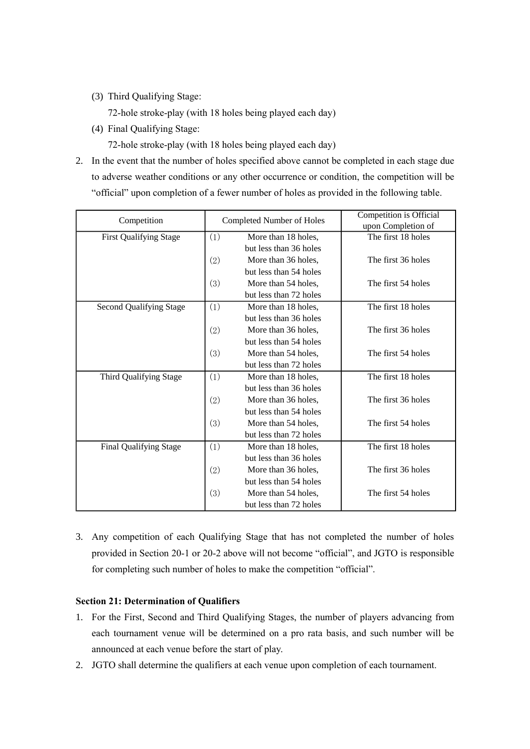(3) Third Qualifying Stage:

72-hole stroke-play (with 18 holes being played each day)

(4) Final Qualifying Stage:

72-hole stroke-play (with 18 holes being played each day)

2. In the event that the number of holes specified above cannot be completed in each stage due to adverse weather conditions or any other occurrence or condition, the competition will be "official" upon completion of a fewer number of holes as provided in the following table.

| Competition             | Completed Number of Holes |                        | <b>Competition is Official</b><br>upon Completion of |
|-------------------------|---------------------------|------------------------|------------------------------------------------------|
| First Qualifying Stage  | (1)                       | More than 18 holes,    | The first 18 holes                                   |
|                         |                           | but less than 36 holes |                                                      |
|                         | (2)                       | More than 36 holes,    | The first 36 holes                                   |
|                         |                           | but less than 54 holes |                                                      |
|                         | (3)                       | More than 54 holes,    | The first 54 holes                                   |
|                         |                           | but less than 72 holes |                                                      |
| Second Qualifying Stage | (1)                       | More than 18 holes,    | The first 18 holes                                   |
|                         |                           | but less than 36 holes |                                                      |
|                         | (2)                       | More than 36 holes,    | The first 36 holes                                   |
|                         |                           | but less than 54 holes |                                                      |
|                         | (3)                       | More than 54 holes,    | The first 54 holes                                   |
|                         |                           | but less than 72 holes |                                                      |
| Third Qualifying Stage  | (1)                       | More than 18 holes,    | The first 18 holes                                   |
|                         |                           | but less than 36 holes |                                                      |
|                         | (2)                       | More than 36 holes,    | The first 36 holes                                   |
|                         |                           | but less than 54 holes |                                                      |
|                         | (3)                       | More than 54 holes,    | The first 54 holes                                   |
|                         |                           | but less than 72 holes |                                                      |
| Final Qualifying Stage  | (1)                       | More than 18 holes,    | The first 18 holes                                   |
|                         |                           | but less than 36 holes |                                                      |
|                         | (2)                       | More than 36 holes,    | The first 36 holes                                   |
|                         |                           | but less than 54 holes |                                                      |
|                         | (3)                       | More than 54 holes,    | The first 54 holes                                   |
|                         |                           | but less than 72 holes |                                                      |

3. Any competition of each Qualifying Stage that has not completed the number of holes provided in Section 20-1 or 20-2 above will not become "official", and JGTO is responsible for completing such number of holes to make the competition "official".

# **Section 21: Determination of Qualifiers**

- 1. For the First, Second and Third Qualifying Stages, the number of players advancing from each tournament venue will be determined on a pro rata basis, and such number will be announced at each venue before the start of play.
- 2. JGTO shall determine the qualifiers at each venue upon completion of each tournament.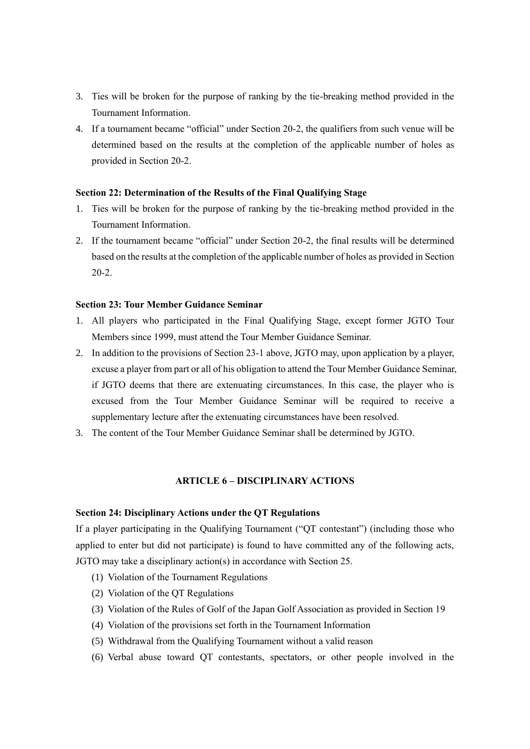- 3. Ties will be broken for the purpose of ranking by the tie-breaking method provided in the Tournament Information.
- 4. If a tournament became "official" under Section 20-2, the qualifiers from such venue will be determined based on the results at the completion of the applicable number of holes as provided in Section 20-2.

### **Section 22: Determination of the Results of the Final Qualifying Stage**

- 1. Ties will be broken for the purpose of ranking by the tie-breaking method provided in the Tournament Information.
- 2. If the tournament became "official" under Section 20-2, the final results will be determined based on the results at the completion of the applicable number of holes as provided in Section 20-2.

#### **Section 23: Tour Member Guidance Seminar**

- 1. All players who participated in the Final Qualifying Stage, except former JGTO Tour Members since 1999, must attend the Tour Member Guidance Seminar.
- 2. In addition to the provisions of Section 23-1 above, JGTO may, upon application by a player, excuse a player from part or all of his obligation to attend the Tour Member Guidance Seminar, if JGTO deems that there are extenuating circumstances. In this case, the player who is excused from the Tour Member Guidance Seminar will be required to receive a supplementary lecture after the extenuating circumstances have been resolved.
- 3. The content of the Tour Member Guidance Seminar shall be determined by JGTO.

# **ARTICLE 6 – DISCIPLINARY ACTIONS**

#### **Section 24: Disciplinary Actions under the QT Regulations**

If a player participating in the Qualifying Tournament ("QT contestant") (including those who applied to enter but did not participate) is found to have committed any of the following acts, JGTO may take a disciplinary action(s) in accordance with Section 25.

- (1) Violation of the Tournament Regulations
- (2) Violation of the QT Regulations
- (3) Violation of the Rules of Golf of the Japan Golf Association as provided in Section 19
- (4) Violation of the provisions set forth in the Tournament Information
- (5) Withdrawal from the Qualifying Tournament without a valid reason
- (6) Verbal abuse toward QT contestants, spectators, or other people involved in the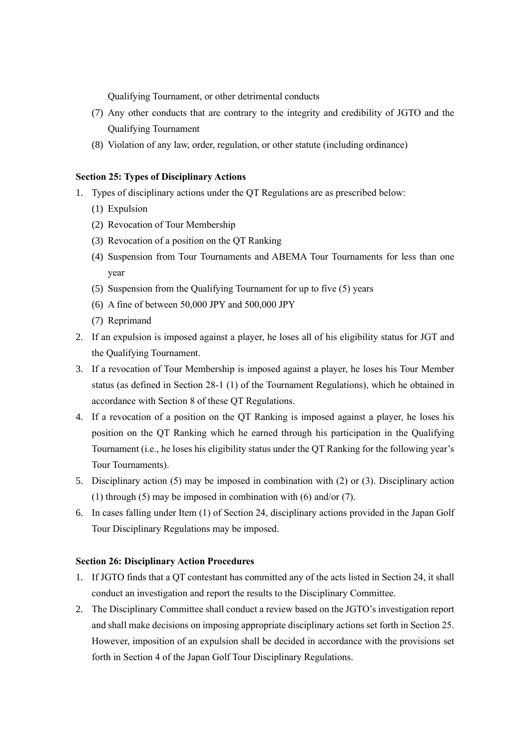Qualifying Tournament, or other detrimental conducts

- (7) Any other conducts that are contrary to the integrity and credibility of JGTO and the Qualifying Tournament
- (8) Violation of any law, order, regulation, or other statute (including ordinance)

## **Section 25: Types of Disciplinary Actions**

- 1. Types of disciplinary actions under the QT Regulations are as prescribed below:
	- (1) Expulsion
	- (2) Revocation of Tour Membership
	- (3) Revocation of a position on the QT Ranking
	- (4) Suspension from Tour Tournaments and ABEMA Tour Tournaments for less than one year
	- (5) Suspension from the Qualifying Tournament for up to five (5) years
	- (6) A fine of between 50,000 JPY and 500,000 JPY
	- (7) Reprimand
- 2. If an expulsion is imposed against a player, he loses all of his eligibility status for JGT and the Qualifying Tournament.
- 3. If a revocation of Tour Membership is imposed against a player, he loses his Tour Member status (as defined in Section 28-1 (1) of the Tournament Regulations), which he obtained in accordance with Section 8 of these QT Regulations.
- 4. If a revocation of a position on the QT Ranking is imposed against a player, he loses his position on the QT Ranking which he earned through his participation in the Qualifying Tournament (i.e., he loses his eligibility status under the QT Ranking for the following year's Tour Tournaments).
- 5. Disciplinary action (5) may be imposed in combination with (2) or (3). Disciplinary action (1) through (5) may be imposed in combination with (6) and/or (7).
- 6. In cases falling under Item (1) of Section 24, disciplinary actions provided in the Japan Golf Tour Disciplinary Regulations may be imposed.

# **Section 26: Disciplinary Action Procedures**

- 1. If JGTO finds that a QT contestant has committed any of the acts listed in Section 24, it shall conduct an investigation and report the results to the Disciplinary Committee.
- 2. The Disciplinary Committee shall conduct a review based on the JGTO's investigation report and shall make decisions on imposing appropriate disciplinary actions set forth in Section 25. However, imposition of an expulsion shall be decided in accordance with the provisions set forth in Section 4 of the Japan Golf Tour Disciplinary Regulations.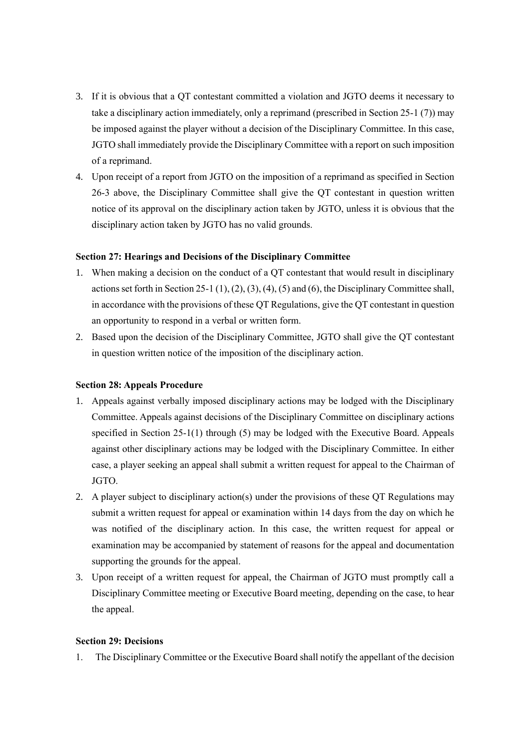- 3. If it is obvious that a QT contestant committed a violation and JGTO deems it necessary to take a disciplinary action immediately, only a reprimand (prescribed in Section 25-1 (7)) may be imposed against the player without a decision of the Disciplinary Committee. In this case, JGTO shall immediately provide the Disciplinary Committee with a report on such imposition of a reprimand.
- 4. Upon receipt of a report from JGTO on the imposition of a reprimand as specified in Section 26-3 above, the Disciplinary Committee shall give the QT contestant in question written notice of its approval on the disciplinary action taken by JGTO, unless it is obvious that the disciplinary action taken by JGTO has no valid grounds.

### **Section 27: Hearings and Decisions of the Disciplinary Committee**

- 1. When making a decision on the conduct of a QT contestant that would result in disciplinary actions set forth in Section 25-1 (1), (2), (3), (4), (5) and (6), the Disciplinary Committee shall, in accordance with the provisions of these QT Regulations, give the QT contestant in question an opportunity to respond in a verbal or written form.
- 2. Based upon the decision of the Disciplinary Committee, JGTO shall give the QT contestant in question written notice of the imposition of the disciplinary action.

### **Section 28: Appeals Procedure**

- 1. Appeals against verbally imposed disciplinary actions may be lodged with the Disciplinary Committee. Appeals against decisions of the Disciplinary Committee on disciplinary actions specified in Section 25-1(1) through (5) may be lodged with the Executive Board. Appeals against other disciplinary actions may be lodged with the Disciplinary Committee. In either case, a player seeking an appeal shall submit a written request for appeal to the Chairman of JGTO.
- 2. A player subject to disciplinary action(s) under the provisions of these QT Regulations may submit a written request for appeal or examination within 14 days from the day on which he was notified of the disciplinary action. In this case, the written request for appeal or examination may be accompanied by statement of reasons for the appeal and documentation supporting the grounds for the appeal.
- 3. Upon receipt of a written request for appeal, the Chairman of JGTO must promptly call a Disciplinary Committee meeting or Executive Board meeting, depending on the case, to hear the appeal.

## **Section 29: Decisions**

1. The Disciplinary Committee or the Executive Board shall notify the appellant of the decision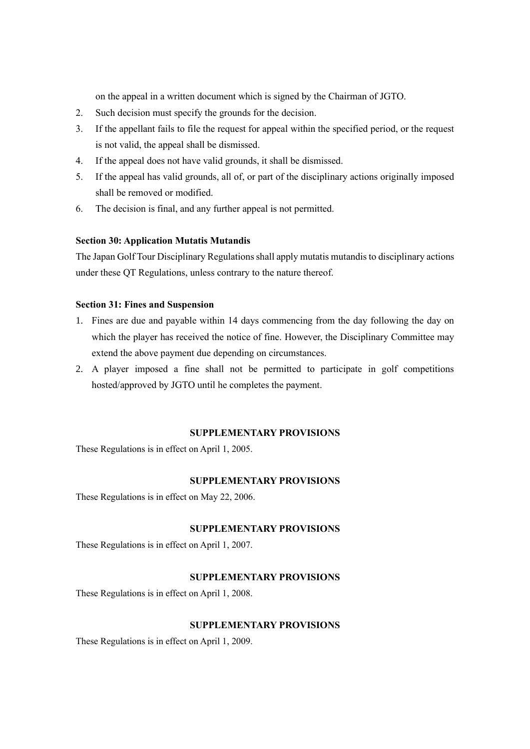on the appeal in a written document which is signed by the Chairman of JGTO.

- 2. Such decision must specify the grounds for the decision.
- 3. If the appellant fails to file the request for appeal within the specified period, or the request is not valid, the appeal shall be dismissed.
- 4. If the appeal does not have valid grounds, it shall be dismissed.
- 5. If the appeal has valid grounds, all of, or part of the disciplinary actions originally imposed shall be removed or modified.
- 6. The decision is final, and any further appeal is not permitted.

## **Section 30: Application Mutatis Mutandis**

The Japan Golf Tour Disciplinary Regulations shall apply mutatis mutandis to disciplinary actions under these QT Regulations, unless contrary to the nature thereof.

# **Section 31: Fines and Suspension**

- 1. Fines are due and payable within 14 days commencing from the day following the day on which the player has received the notice of fine. However, the Disciplinary Committee may extend the above payment due depending on circumstances.
- 2. A player imposed a fine shall not be permitted to participate in golf competitions hosted/approved by JGTO until he completes the payment.

## **SUPPLEMENTARY PROVISIONS**

These Regulations is in effect on April 1, 2005.

## **SUPPLEMENTARY PROVISIONS**

These Regulations is in effect on May 22, 2006.

## **SUPPLEMENTARY PROVISIONS**

These Regulations is in effect on April 1, 2007.

#### **SUPPLEMENTARY PROVISIONS**

These Regulations is in effect on April 1, 2008.

### **SUPPLEMENTARY PROVISIONS**

These Regulations is in effect on April 1, 2009.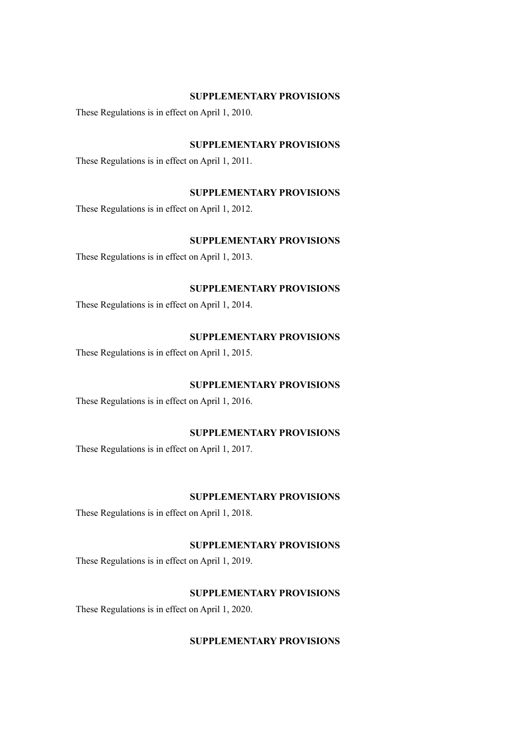#### **SUPPLEMENTARY PROVISIONS**

These Regulations is in effect on April 1, 2010.

### **SUPPLEMENTARY PROVISIONS**

These Regulations is in effect on April 1, 2011.

### **SUPPLEMENTARY PROVISIONS**

These Regulations is in effect on April 1, 2012.

# **SUPPLEMENTARY PROVISIONS**

These Regulations is in effect on April 1, 2013.

# **SUPPLEMENTARY PROVISIONS**

These Regulations is in effect on April 1, 2014.

# **SUPPLEMENTARY PROVISIONS**

These Regulations is in effect on April 1, 2015.

#### **SUPPLEMENTARY PROVISIONS**

These Regulations is in effect on April 1, 2016.

# **SUPPLEMENTARY PROVISIONS**

These Regulations is in effect on April 1, 2017.

# **SUPPLEMENTARY PROVISIONS**

These Regulations is in effect on April 1, 2018.

#### **SUPPLEMENTARY PROVISIONS**

These Regulations is in effect on April 1, 2019.

# **SUPPLEMENTARY PROVISIONS**

These Regulations is in effect on April 1, 2020.

# **SUPPLEMENTARY PROVISIONS**